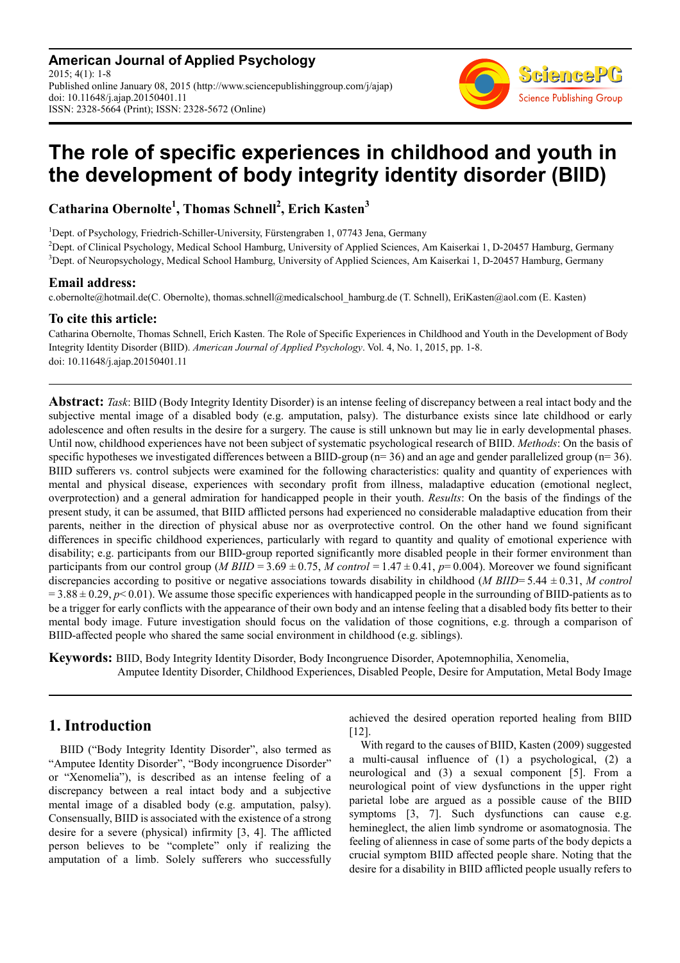**American Journal of Applied Psychology** 2015; 4(1): 1-8 Published online January 08, 2015 (http://www.sciencepublishinggroup.com/j/ajap) doi: 10.11648/j.ajap.20150401.11 ISSN: 2328-5664 (Print); ISSN: 2328-5672 (Online)



# **The role of specific experiences in childhood and youth in the development of body integrity identity disorder (BIID)**

**Catharina Obernolte<sup>1</sup> , Thomas Schnell<sup>2</sup> , Erich Kasten<sup>3</sup>**

<sup>1</sup>Dept. of Psychology, Friedrich-Schiller-University, Fürstengraben 1, 07743 Jena, Germany

<sup>2</sup>Dept. of Clinical Psychology, Medical School Hamburg, University of Applied Sciences, Am Kaiserkai 1, D-20457 Hamburg, Germany <sup>3</sup>Dept. of Neuropsychology, Medical School Hamburg, University of Applied Sciences, Am Kaiserkai 1, D-20457 Hamburg, Germany

### **Email address:**

c.obernolte@hotmail.de(C. Obernolte), thomas.schnell@medicalschool\_hamburg.de (T. Schnell), EriKasten@aol.com (E. Kasten)

### **To cite this article:**

Catharina Obernolte, Thomas Schnell, Erich Kasten. The Role of Specific Experiences in Childhood and Youth in the Development of Body Integrity Identity Disorder (BIID). *American Journal of Applied Psychology*. Vol. 4, No. 1, 2015, pp. 1-8. doi: 10.11648/j.ajap.20150401.11

**Abstract:** *Task*: BIID (Body Integrity Identity Disorder) is an intense feeling of discrepancy between a real intact body and the subjective mental image of a disabled body (e.g. amputation, palsy). The disturbance exists since late childhood or early adolescence and often results in the desire for a surgery. The cause is still unknown but may lie in early developmental phases. Until now, childhood experiences have not been subject of systematic psychological research of BIID. *Methods*: On the basis of specific hypotheses we investigated differences between a BIID-group ( $n=36$ ) and an age and gender parallelized group ( $n=36$ ). BIID sufferers vs. control subjects were examined for the following characteristics: quality and quantity of experiences with mental and physical disease, experiences with secondary profit from illness, maladaptive education (emotional neglect, overprotection) and a general admiration for handicapped people in their youth. *Results*: On the basis of the findings of the present study, it can be assumed, that BIID afflicted persons had experienced no considerable maladaptive education from their parents, neither in the direction of physical abuse nor as overprotective control. On the other hand we found significant differences in specific childhood experiences, particularly with regard to quantity and quality of emotional experience with disability; e.g. participants from our BIID-group reported significantly more disabled people in their former environment than participants from our control group (*M BIID* = 3.69  $\pm$  0.75, *M* control = 1.47 $\pm$ 0.41, *p*=0.004). Moreover we found significant discrepancies according to positive or negative associations towards disability in childhood (*M BIID*= 5.44 ± 0.31, *M control*   $=$  3.88  $\pm$  0.29,  $p$  < 0.01). We assume those specific experiences with handicapped people in the surrounding of BIID-patients as to be a trigger for early conflicts with the appearance of their own body and an intense feeling that a disabled body fits better to their mental body image. Future investigation should focus on the validation of those cognitions, e.g. through a comparison of BIID-affected people who shared the same social environment in childhood (e.g. siblings).

**Keywords:** BIID, Body Integrity Identity Disorder, Body Incongruence Disorder, Apotemnophilia, Xenomelia, Amputee Identity Disorder, Childhood Experiences, Disabled People, Desire for Amputation, Metal Body Image

## **1. Introduction**

BIID ("Body Integrity Identity Disorder", also termed as "Amputee Identity Disorder", "Body incongruence Disorder" or "Xenomelia"), is described as an intense feeling of a discrepancy between a real intact body and a subjective mental image of a disabled body (e.g. amputation, palsy). Consensually, BIID is associated with the existence of a strong desire for a severe (physical) infirmity [3, 4]. The afflicted person believes to be "complete" only if realizing the amputation of a limb. Solely sufferers who successfully achieved the desired operation reported healing from BIID [12].

With regard to the causes of BIID, Kasten (2009) suggested a multi-causal influence of (1) a psychological, (2) a neurological and (3) a sexual component [5]. From a neurological point of view dysfunctions in the upper right parietal lobe are argued as a possible cause of the BIID symptoms [3, 7]. Such dysfunctions can cause e.g. hemineglect, the alien limb syndrome or asomatognosia. The feeling of alienness in case of some parts of the body depicts a crucial symptom BIID affected people share. Noting that the desire for a disability in BIID afflicted people usually refers to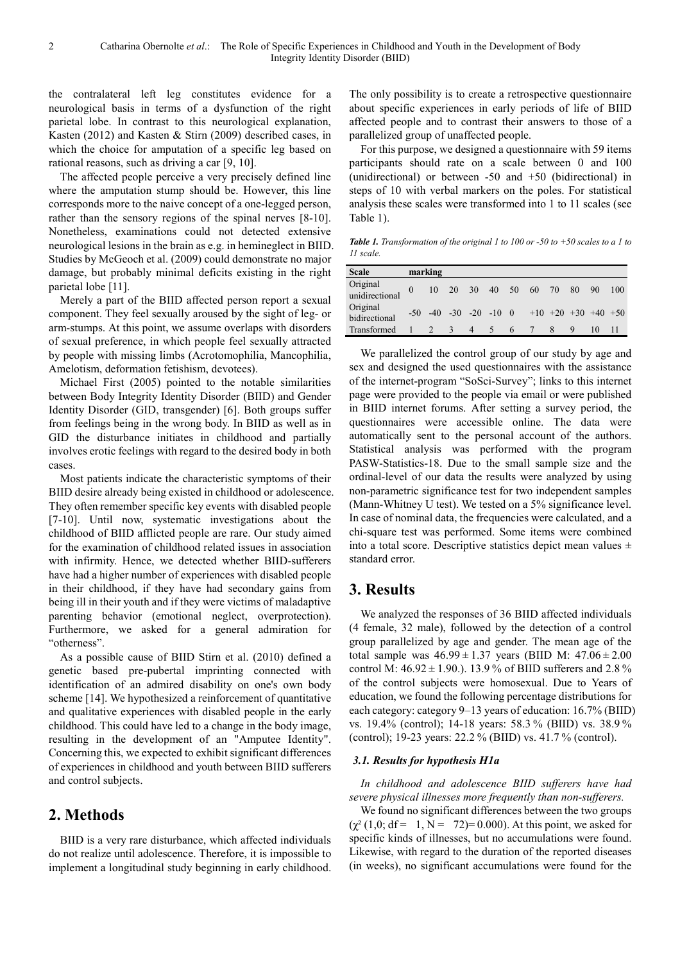the contralateral left leg constitutes evidence for a neurological basis in terms of a dysfunction of the right parietal lobe. In contrast to this neurological explanation, Kasten (2012) and Kasten & Stirn (2009) described cases, in which the choice for amputation of a specific leg based on rational reasons, such as driving a car [9, 10].

The affected people perceive a very precisely defined line where the amputation stump should be. However, this line corresponds more to the naive concept of a one-legged person, rather than the sensory regions of the spinal nerves [8-10]. Nonetheless, examinations could not detected extensive neurological lesions in the brain as e.g. in hemineglect in BIID. Studies by McGeoch et al. (2009) could demonstrate no major damage, but probably minimal deficits existing in the right parietal lobe [11].

Merely a part of the BIID affected person report a sexual component. They feel sexually aroused by the sight of leg- or arm-stumps. At this point, we assume overlaps with disorders of sexual preference, in which people feel sexually attracted by people with missing limbs (Acrotomophilia, Mancophilia, Amelotism, deformation fetishism, devotees).

Michael First (2005) pointed to the notable similarities between Body Integrity Identity Disorder (BIID) and Gender Identity Disorder (GID, transgender) [6]. Both groups suffer from feelings being in the wrong body. In BIID as well as in GID the disturbance initiates in childhood and partially involves erotic feelings with regard to the desired body in both cases.

Most patients indicate the characteristic symptoms of their BIID desire already being existed in childhood or adolescence. They often remember specific key events with disabled people [7-10]. Until now, systematic investigations about the childhood of BIID afflicted people are rare. Our study aimed for the examination of childhood related issues in association with infirmity. Hence, we detected whether BIID-sufferers have had a higher number of experiences with disabled people in their childhood, if they have had secondary gains from being ill in their youth and if they were victims of maladaptive parenting behavior (emotional neglect, overprotection). Furthermore, we asked for a general admiration for "otherness".

As a possible cause of BIID Stirn et al. (2010) defined a genetic based pre-pubertal imprinting connected with identification of an admired disability on one's own body scheme [14]. We hypothesized a reinforcement of quantitative and qualitative experiences with disabled people in the early childhood. This could have led to a change in the body image, resulting in the development of an "Amputee Identity". Concerning this, we expected to exhibit significant differences of experiences in childhood and youth between BIID sufferers and control subjects.

## **2. Methods**

BIID is a very rare disturbance, which affected individuals do not realize until adolescence. Therefore, it is impossible to implement a longitudinal study beginning in early childhood. The only possibility is to create a retrospective questionnaire about specific experiences in early periods of life of BIID affected people and to contrast their answers to those of a parallelized group of unaffected people.

For this purpose, we designed a questionnaire with 59 items participants should rate on a scale between 0 and 100 (unidirectional) or between -50 and +50 (bidirectional) in steps of 10 with verbal markers on the poles. For statistical analysis these scales were transformed into 1 to 11 scales (see Table 1).

*Table 1. Transformation of the original 1 to 100 or -50 to +50 scales to a 1 to 11 scale.* 

| <b>Scale</b>               | marking  |               |                |                           |   |                       |    |    |    |     |
|----------------------------|----------|---------------|----------------|---------------------------|---|-----------------------|----|----|----|-----|
| Original<br>unidirectional | $\theta$ |               |                | 10 20 30 40 50            |   | 60                    | 70 | 80 | 90 | 100 |
| Original<br>bidirectional  | $-50$    |               |                | $-40$ $-30$ $-20$ $-10$ 0 |   | $+10$ +20 +30 +40 +50 |    |    |    |     |
| Transformed                |          | $\mathcal{R}$ | $\overline{4}$ | $\overline{\phantom{1}}$  | 6 |                       | 8  |    | 10 |     |

We parallelized the control group of our study by age and sex and designed the used questionnaires with the assistance of the internet-program "SoSci-Survey"; links to this internet page were provided to the people via email or were published in BIID internet forums. After setting a survey period, the questionnaires were accessible online. The data were automatically sent to the personal account of the authors. Statistical analysis was performed with the program PASW-Statistics-18. Due to the small sample size and the ordinal-level of our data the results were analyzed by using non-parametric significance test for two independent samples (Mann-Whitney U test). We tested on a 5% significance level. In case of nominal data, the frequencies were calculated, and a chi-square test was performed. Some items were combined into a total score. Descriptive statistics depict mean values  $\pm$ standard error.

## **3. Results**

We analyzed the responses of 36 BIID affected individuals (4 female, 32 male), followed by the detection of a control group parallelized by age and gender. The mean age of the total sample was  $46.99 \pm 1.37$  years (BIID M:  $47.06 \pm 2.00$ control M:  $46.92 \pm 1.90$ .). 13.9 % of BIID sufferers and 2.8 % of the control subjects were homosexual. Due to Years of education, we found the following percentage distributions for each category: category 9–13 years of education: 16.7% (BIID) vs. 19.4% (control); 14-18 years: 58.3 % (BIID) vs. 38.9 % (control); 19-23 years: 22.2 % (BIID) vs. 41.7 % (control).

### *3.1. Results for hypothesis H1a*

*In childhood and adolescence BIID sufferers have had severe physical illnesses more frequently than non-sufferers.* 

We found no significant differences between the two groups  $(\chi^2 (1,0; df = 1, N = 72) = 0.000)$ . At this point, we asked for specific kinds of illnesses, but no accumulations were found. Likewise, with regard to the duration of the reported diseases (in weeks), no significant accumulations were found for the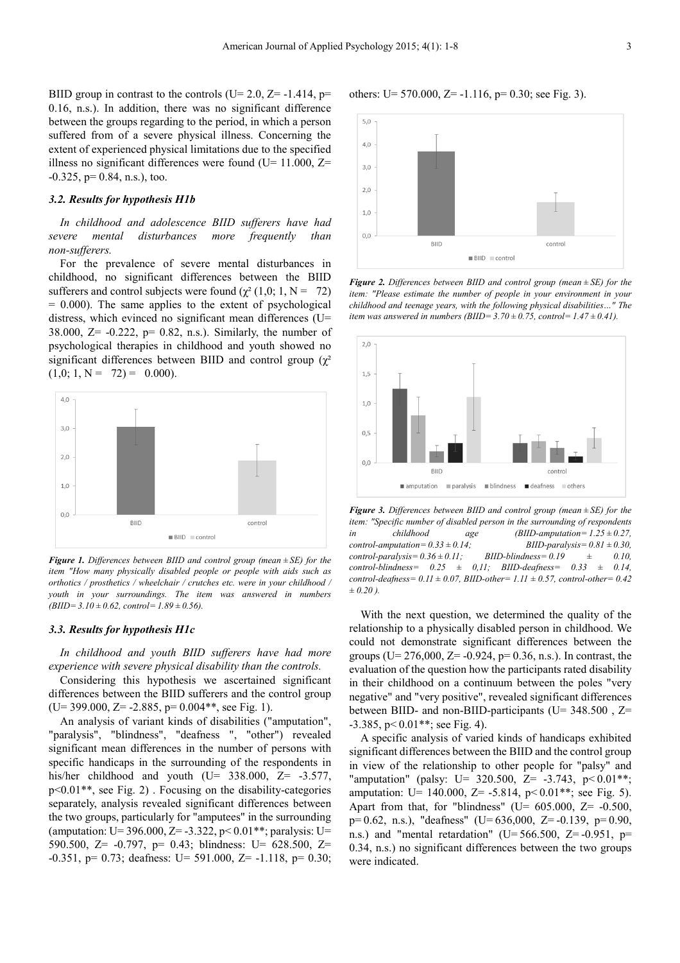BIID group in contrast to the controls (U= 2.0,  $Z = -1.414$ , p= 0.16, n.s.). In addition, there was no significant difference between the groups regarding to the period, in which a person suffered from of a severe physical illness. Concerning the extent of experienced physical limitations due to the specified illness no significant differences were found ( $U= 11.000$ ,  $Z=$  $-0.325$ , p= 0.84, n.s.), too.

#### *3.2. Results for hypothesis H1b*

*In childhood and adolescence BIID sufferers have had severe mental disturbances more frequently than non-sufferers.* 

For the prevalence of severe mental disturbances in childhood, no significant differences between the BIID sufferers and control subjects were found ( $\chi^2$  (1,0; 1, N = 72)  $= 0.000$ ). The same applies to the extent of psychological distress, which evinced no significant mean differences (U= 38.000,  $Z = -0.222$ ,  $p = 0.82$ , n.s.). Similarly, the number of psychological therapies in childhood and youth showed no significant differences between BIID and control group  $(\gamma^2)$  $(1,0; 1, N = 72) = 0.000$ .



*Figure 1. Differences between BIID and control group (mean ± SE) for the item "How many physically disabled people or people with aids such as orthotics / prosthetics / wheelchair / crutches etc. were in your childhood / youth in your surroundings. The item was answered in numbers (BIID= 3.10 ± 0.62, control= 1.89 ± 0.56).* 

#### *3.3. Results for hypothesis H1c*

*In childhood and youth BIID sufferers have had more experience with severe physical disability than the controls.* 

Considering this hypothesis we ascertained significant differences between the BIID sufferers and the control group  $(U= 399.000, Z= -2.885, p= 0.004**,$  see Fig. 1).

An analysis of variant kinds of disabilities ("amputation", "paralysis", "blindness", "deafness ", "other") revealed significant mean differences in the number of persons with specific handicaps in the surrounding of the respondents in his/her childhood and youth (U=  $338.000$ , Z=  $-3.577$ , p<0.01\*\*, see Fig. 2) . Focusing on the disability-categories separately, analysis revealed significant differences between the two groups, particularly for "amputees" in the surrounding (amputation: U= 396.000, Z= -3.322, p<  $0.01$ <sup>\*\*</sup>; paralysis: U= 590.500, Z= -0.797, p= 0.43; blindness: U= 628.500, Z=  $-0.351$ , p= 0.73; deafness: U= 591.000, Z=  $-1.118$ , p= 0.30;



others: U=  $570.000$ , Z=  $-1.116$ , p= 0.30; see Fig. 3).



*Figure 2. Differences between BIID and control group (mean ± SE) for the item: "Please estimate the number of people in your environment in your childhood and teenage years, with the following physical disabilities…" The item was answered in numbers (BIID=*  $3.70 \pm 0.75$ , control= $1.47 \pm 0.41$ ).



*Figure 3. Differences between BIID and control group (mean ± SE) for the item: "Specific number of disabled person in the surrounding of respondents in childhood age (BIID-amputation= 1.25 ± 0.27,*   $control-amputation=0.33\pm0.14; \qquad BIID-paralysis=0.81\pm0.30,$ <br> $control-paralysis=0.36\pm0.11; \qquad BIID-blindness=0.19 \qquad \pm \qquad 0.10,$  $control\text{-}paralysis = 0.36 \pm 0.11$ ; BIID-blindness= $0.19$   $\pm$  0.10, *control-blindness= 0.25 ± 0,11; BIID-deafness= 0.33 ± 0.14, control-deafness= 0.11 ± 0.07, BIID-other= 1.11 ± 0.57, control-other= 0.42 ± 0.20 ).* 

With the next question, we determined the quality of the relationship to a physically disabled person in childhood. We could not demonstrate significant differences between the groups ( $U= 276,000$ ,  $Z=-0.924$ ,  $p= 0.36$ , n.s.). In contrast, the evaluation of the question how the participants rated disability in their childhood on a continuum between the poles "very negative" and "very positive", revealed significant differences between BIID- and non-BIID-participants (U= 348.500, Z=  $-3.385$ , p $< 0.01$ <sup>\*\*</sup>; see Fig. 4).

A specific analysis of varied kinds of handicaps exhibited significant differences between the BIID and the control group in view of the relationship to other people for "palsy" and "amputation" (palsy: U= 320.500, Z= -3.743,  $p < 0.01**$ ; amputation: U= 140.000, Z= -5.814,  $p < 0.01$ <sup>\*\*</sup>; see Fig. 5). Apart from that, for "blindness" (U=  $605.000$ , Z=  $-0.500$ , p= 0.62, n.s.), "deafness" (U= 636,000, Z= -0.139, p= 0.90, n.s.) and "mental retardation" ( $U=566.500$ ,  $Z=-0.951$ , p= 0.34, n.s.) no significant differences between the two groups were indicated.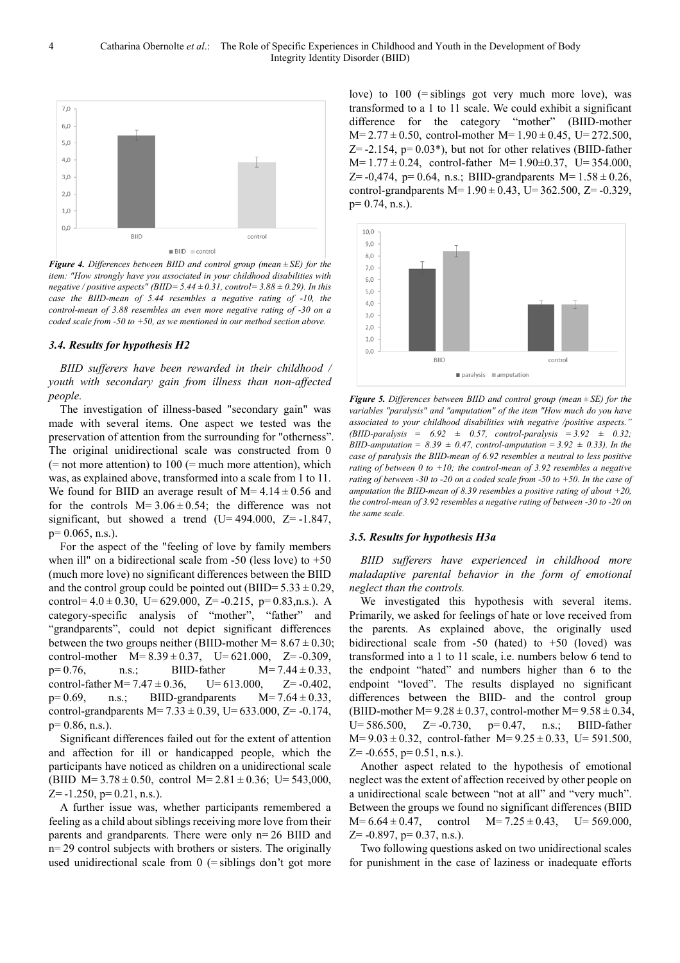

*Figure 4. Differences between BIID and control group (mean ± SE) for the item: "How strongly have you associated in your childhood disabilities with negative / positive aspects" (BIID=* $5.44 \pm 0.31$ , *control=* $3.88 \pm 0.29$ ). In this *case the BIID-mean of 5.44 resembles a negative rating of -10, the control-mean of 3.88 resembles an even more negative rating of -30 on a coded scale from -50 to +50, as we mentioned in our method section above.* 

#### *3.4. Results for hypothesis H2*

*BIID sufferers have been rewarded in their childhood / youth with secondary gain from illness than non-affected people.* 

The investigation of illness-based "secondary gain" was made with several items. One aspect we tested was the preservation of attention from the surrounding for "otherness". The original unidirectional scale was constructed from 0  $(=$  not more attention) to 100  $(=$  much more attention), which was, as explained above, transformed into a scale from 1 to 11. We found for BIID an average result of  $M=4.14\pm0.56$  and for the controls  $M=3.06\pm0.54$ ; the difference was not significant, but showed a trend  $(U= 494.000, Z=-1.847,$  $p= 0.065$ , n.s.).

For the aspect of the "feeling of love by family members when ill" on a bidirectional scale from  $-50$  (less love) to  $+50$ (much more love) no significant differences between the BIID and the control group could be pointed out (BIID= $5.33 \pm 0.29$ , control= $4.0 \pm 0.30$ , U= $629.000$ , Z= $-0.215$ , p= $0.83$ ,n.s.). A category-specific analysis of "mother", "father" and "grandparents", could not depict significant differences between the two groups neither (BIID-mother  $M= 8.67 \pm 0.30$ ; control-mother  $M=8.39\pm0.37$ ,  $U=621.000$ ,  $Z=$  -0.309,  $p=0.76$ , n.s.; BIID-father M= 7.44  $\pm$  0.33, control-father  $M=7.47\pm0.36$ ,  $U=613.000$ ,  $Z=0.402$ ,  $p=0.69$ , n.s.; BIID-grandparents  $M=7.64\pm0.33$ , control-grandparents M= $7.33 \pm 0.39$ , U= $633.000$ , Z= $-0.174$ ,  $p= 0.86$ , n.s.).

Significant differences failed out for the extent of attention and affection for ill or handicapped people, which the participants have noticed as children on a unidirectional scale (BIID M= 3.78 ± 0.50, control M= 2.81 ± 0.36; U= 543,000,  $Z=$  -1.250, p= 0.21, n.s.).

A further issue was, whether participants remembered a feeling as a child about siblings receiving more love from their parents and grandparents. There were only n= 26 BIID and n= 29 control subjects with brothers or sisters. The originally used unidirectional scale from  $0$  (= siblings don't got more love) to  $100$  (= siblings got very much more love), was transformed to a 1 to 11 scale. We could exhibit a significant difference for the category "mother" (BIID-mother M= 2.77 ± 0.50, control-mother M= 1.90 ± 0.45, U= 272.500,  $Z = -2.154$ ,  $p = 0.03$ <sup>\*</sup>), but not for other relatives (BIID-father M= 1.77 ± 0.24, control-father M= 1.90±0.37, U= 354.000,  $Z = -0.474$ , p= 0.64, n.s.; BIID-grandparents M=  $1.58 \pm 0.26$ , control-grandparents  $M=1.90 \pm 0.43$ , U= $362.500$ , Z= $-0.329$ ,  $p= 0.74$ , n.s.).



*Figure 5. Differences between BIID and control group (mean ± SE) for the variables "paralysis" and "amputation" of the item "How much do you have associated to your childhood disabilities with negative /positive aspects." (BIID-paralysis =  6.92  ±  0.57, control-paralysis = 3.92  ±  0.32; BIID-amputation* =  $8.39 \pm 0.47$ , *control-amputation* =  $3.92 \pm 0.33$ *). In the case of paralysis the BIID-mean of 6.92 resembles a neutral to less positive rating of between 0 to +10; the control-mean of 3.92 resembles a negative rating of between -30 to -20 on a coded scale from -50 to +50. In the case of amputation the BIID-mean of 8.39 resembles a positive rating of about +20, the control-mean of 3.92 resembles a negative rating of between -30 to -20 on the same scale.* 

#### *3.5. Results for hypothesis H3a*

*BIID sufferers have experienced in childhood more maladaptive parental behavior in the form of emotional neglect than the controls.* 

We investigated this hypothesis with several items. Primarily, we asked for feelings of hate or love received from the parents. As explained above, the originally used bidirectional scale from -50 (hated) to +50 (loved) was transformed into a 1 to 11 scale, i.e. numbers below 6 tend to the endpoint "hated" and numbers higher than 6 to the endpoint "loved". The results displayed no significant differences between the BIID- and the control group (BIID-mother M= $9.28 \pm 0.37$ , control-mother M= $9.58 \pm 0.34$ , U= 586.500, Z= -0.730, p= 0.47, n.s.; BIID-father M= 9.03 ± 0.32, control-father M= 9.25 ± 0.33, U= 591.500,  $Z=$  -0.655, p= 0.51, n.s.).

Another aspect related to the hypothesis of emotional neglect was the extent of affection received by other people on a unidirectional scale between "not at all" and "very much". Between the groups we found no significant differences (BIID  $M=6.64\pm0.47$ , control  $M=7.25\pm0.43$ , U= 569.000,  $Z=-0.897$ ,  $p= 0.37$ , n.s.).

Two following questions asked on two unidirectional scales for punishment in the case of laziness or inadequate efforts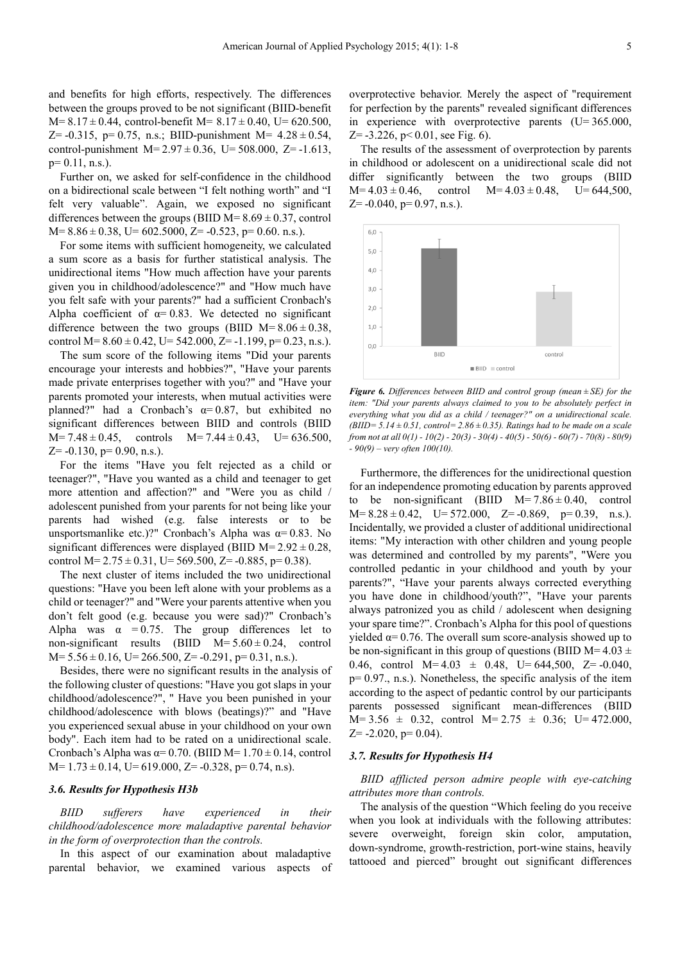and benefits for high efforts, respectively. The differences between the groups proved to be not significant (BIID-benefit  $M=8.17\pm0.44$ , control-benefit  $M=8.17\pm0.40$ , U= 620.500, Z=  $-0.315$ , p= 0.75, n.s.; BIID-punishment M=  $4.28 \pm 0.54$ , control-punishment  $M=2.97\pm0.36$ , U= 508.000, Z=-1.613,  $p= 0.11$ , n.s.).

Further on, we asked for self-confidence in the childhood on a bidirectional scale between "I felt nothing worth" and "I felt very valuable". Again, we exposed no significant differences between the groups (BIID  $M=8.69\pm0.37$ , control  $M=8.86\pm0.38$ , U= 602.5000, Z= -0.523, p= 0.60, n.s.).

For some items with sufficient homogeneity, we calculated a sum score as a basis for further statistical analysis. The unidirectional items "How much affection have your parents given you in childhood/adolescence?" and "How much have you felt safe with your parents?" had a sufficient Cronbach's Alpha coefficient of  $\alpha$ = 0.83. We detected no significant difference between the two groups (BIID  $M=8.06\pm0.38$ , control M= $8.60 \pm 0.42$ , U= 542.000, Z= -1.199, p=0.23, n.s.).

The sum score of the following items "Did your parents encourage your interests and hobbies?", "Have your parents made private enterprises together with you?" and "Have your parents promoted your interests, when mutual activities were planned?" had a Cronbach's  $\alpha$ =0.87, but exhibited no significant differences between BIID and controls (BIID  $M=7.48\pm0.45$ , controls  $M=7.44\pm0.43$ ,  $U=636.500$ ,  $Z=-0.130$ ,  $p=0.90$ , n.s.).

For the items "Have you felt rejected as a child or teenager?", "Have you wanted as a child and teenager to get more attention and affection?" and "Were you as child / adolescent punished from your parents for not being like your parents had wished (e.g. false interests or to be unsportsmanlike etc.)?" Cronbach's Alpha was  $α=0.83$ . No significant differences were displayed (BIID  $M=2.92\pm0.28$ , control M= $2.75 \pm 0.31$ , U= $569.500$ , Z= $-0.885$ , p= $0.38$ ).

The next cluster of items included the two unidirectional questions: "Have you been left alone with your problems as a child or teenager?" and "Were your parents attentive when you don't felt good (e.g. because you were sad)?" Cronbach's Alpha was  $\alpha = 0.75$ . The group differences let to non-significant results (BIID  $M=5.60\pm0.24$ , control M= 5.56 ± 0.16, U= 266.500, Z= -0.291, p= 0.31, n.s.).

Besides, there were no significant results in the analysis of the following cluster of questions: "Have you got slaps in your childhood/adolescence?", " Have you been punished in your childhood/adolescence with blows (beatings)?" and "Have you experienced sexual abuse in your childhood on your own body". Each item had to be rated on a unidirectional scale. Cronbach's Alpha was  $\alpha$ = 0.70. (BIID M= 1.70  $\pm$  0.14, control M= 1.73 ± 0.14, U= 619.000, Z= -0.328, p= 0.74, n.s).

#### *3.6. Results for Hypothesis H3b*

*BIID sufferers have experienced in their childhood/adolescence more maladaptive parental behavior in the form of overprotection than the controls.* 

In this aspect of our examination about maladaptive parental behavior, we examined various aspects of overprotective behavior. Merely the aspect of "requirement for perfection by the parents" revealed significant differences in experience with overprotective parents  $(U=365.000,$  $Z = -3.226$ ,  $p < 0.01$ , see Fig. 6).

The results of the assessment of overprotection by parents in childhood or adolescent on a unidirectional scale did not differ significantly between the two groups (BIID  $M=4.03\pm0.46$ , control  $M=4.03\pm0.48$ ,  $U=644,500$ ,  $Z=$  -0.040, p= 0.97, n.s.).



*Figure 6. Differences between BIID and control group (mean ± SE) for the item: "Did your parents always claimed to you to be absolutely perfect in everything what you did as a child / teenager?" on a unidirectional scale. (BIID= 5.14 ± 0.51, control= 2.86 ± 0.35). Ratings had to be made on a scale from not at all 0(1) - 10(2) - 20(3) - 30(4) - 40(5) - 50(6) - 60(7) - 70(8) - 80(9) - 90(9) – very often 100(10).* 

Furthermore, the differences for the unidirectional question for an independence promoting education by parents approved to be non-significant (BIID  $M=7.86\pm0.40$ , control M= 8.28 ± 0.42, U= 572.000, Z= -0.869, p= 0.39, n.s.). Incidentally, we provided a cluster of additional unidirectional items: "My interaction with other children and young people was determined and controlled by my parents", "Were you controlled pedantic in your childhood and youth by your parents?", "Have your parents always corrected everything you have done in childhood/youth?", "Have your parents always patronized you as child / adolescent when designing your spare time?". Cronbach's Alpha for this pool of questions yielded  $α=0.76$ . The overall sum score-analysis showed up to be non-significant in this group of questions (BIID M= $4.03 \pm$ 0.46, control  $M=4.03 \pm 0.48$ ,  $U=644,500$ ,  $Z= -0.040$ ,  $p= 0.97$ ., n.s.). Nonetheless, the specific analysis of the item according to the aspect of pedantic control by our participants parents possessed significant mean-differences (BIID  $M= 3.56 \pm 0.32$ , control  $M= 2.75 \pm 0.36$ ; U= 472.000,  $Z = -2.020$ ,  $p = 0.04$ ).

#### *3.7. Results for Hypothesis H4*

#### *BIID afflicted person admire people with eye-catching attributes more than controls.*

The analysis of the question "Which feeling do you receive when you look at individuals with the following attributes: severe overweight, foreign skin color, amputation, down-syndrome, growth-restriction, port-wine stains, heavily tattooed and pierced" brought out significant differences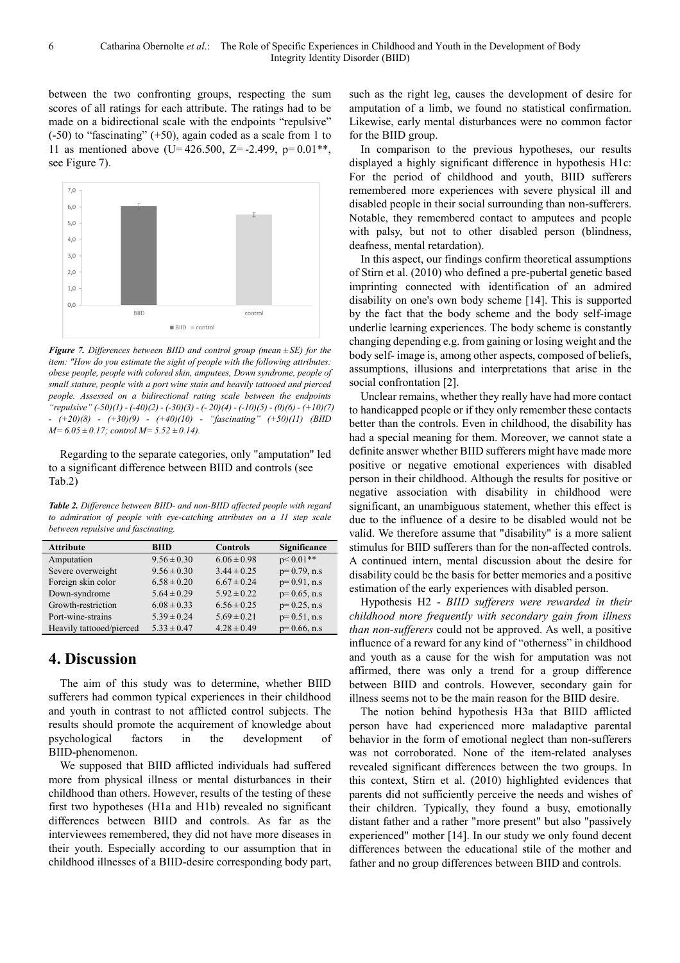between the two confronting groups, respecting the sum scores of all ratings for each attribute. The ratings had to be made on a bidirectional scale with the endpoints "repulsive" (-50) to "fascinating" (+50), again coded as a scale from 1 to 11 as mentioned above (U= $426.500$ , Z= $-2.499$ , p= $0.01**$ , see Figure 7).



*Figure 7. Differences between BIID and control group (mean ± SE) for the item: "How do you estimate the sight of people with the following attributes: obese people, people with colored skin, amputees, Down syndrome, people of small stature, people with a port wine stain and heavily tattooed and pierced people. Assessed on a bidirectional rating scale between the endpoints "repulsive" (-50)(1) - (-40)(2) - (-30)(3) - (- 20)(4) - (-10)(5) - (0)(6) - (+10)(7) - (+20)(8) - (+30)(9) - (+40)(10) - "fascinating" (+50)(11) (BIID M= 6.05 ± 0.17; control M= 5.52 ± 0.14).* 

Regarding to the separate categories, only "amputation" led to a significant difference between BIID and controls (see Tab.2)

*Table 2. Difference between BIID- and non-BIID affected people with regard to admiration of people with eye-catching attributes on a 11 step scale between repulsive and fascinating.* 

| <b>Attribute</b>         | <b>BIID</b>     | <b>Controls</b> | Significance   |
|--------------------------|-----------------|-----------------|----------------|
| Amputation               | $9.56 \pm 0.30$ | $6.06 \pm 0.98$ | $p < 0.01**$   |
| Severe overweight        | $9.56 \pm 0.30$ | $3.44 \pm 0.25$ | $p=0.79$ , n.s |
| Foreign skin color       | $6.58 \pm 0.20$ | $6.67 \pm 0.24$ | $p=0.91$ , n.s |
| Down-syndrome            | $5.64 \pm 0.29$ | $5.92 \pm 0.22$ | $p=0.65$ , n.s |
| Growth-restriction       | $6.08 \pm 0.33$ | $6.56 \pm 0.25$ | $p=0.25$ , n.s |
| Port-wine-strains        | $5.39 \pm 0.24$ | $5.69 \pm 0.21$ | $p=0.51$ , n.s |
| Heavily tattooed/pierced | $5.33 \pm 0.47$ | $4.28 \pm 0.49$ | $p=0.66$ , n.s |
|                          |                 |                 |                |

## **4. Discussion**

The aim of this study was to determine, whether BIID sufferers had common typical experiences in their childhood and youth in contrast to not afflicted control subjects. The results should promote the acquirement of knowledge about psychological factors in the development of BIID-phenomenon.

We supposed that BIID afflicted individuals had suffered more from physical illness or mental disturbances in their childhood than others. However, results of the testing of these first two hypotheses (H1a and H1b) revealed no significant differences between BIID and controls. As far as the interviewees remembered, they did not have more diseases in their youth. Especially according to our assumption that in childhood illnesses of a BIID-desire corresponding body part,

such as the right leg, causes the development of desire for amputation of a limb, we found no statistical confirmation. Likewise, early mental disturbances were no common factor for the BIID group.

In comparison to the previous hypotheses, our results displayed a highly significant difference in hypothesis H1c: For the period of childhood and youth, BIID sufferers remembered more experiences with severe physical ill and disabled people in their social surrounding than non-sufferers. Notable, they remembered contact to amputees and people with palsy, but not to other disabled person (blindness, deafness, mental retardation).

In this aspect, our findings confirm theoretical assumptions of Stirn et al. (2010) who defined a pre-pubertal genetic based imprinting connected with identification of an admired disability on one's own body scheme [14]. This is supported by the fact that the body scheme and the body self-image underlie learning experiences. The body scheme is constantly changing depending e.g. from gaining or losing weight and the body self- image is, among other aspects, composed of beliefs, assumptions, illusions and interpretations that arise in the social confrontation [2].

Unclear remains, whether they really have had more contact to handicapped people or if they only remember these contacts better than the controls. Even in childhood, the disability has had a special meaning for them. Moreover, we cannot state a definite answer whether BIID sufferers might have made more positive or negative emotional experiences with disabled person in their childhood. Although the results for positive or negative association with disability in childhood were significant, an unambiguous statement, whether this effect is due to the influence of a desire to be disabled would not be valid. We therefore assume that "disability" is a more salient stimulus for BIID sufferers than for the non-affected controls. A continued intern, mental discussion about the desire for disability could be the basis for better memories and a positive estimation of the early experiences with disabled person.

Hypothesis H2 - *BIID sufferers were rewarded in their childhood more frequently with secondary gain from illness than non-sufferers* could not be approved. As well, a positive influence of a reward for any kind of "otherness" in childhood and youth as a cause for the wish for amputation was not affirmed, there was only a trend for a group difference between BIID and controls. However, secondary gain for illness seems not to be the main reason for the BIID desire.

The notion behind hypothesis H3a that BIID afflicted person have had experienced more maladaptive parental behavior in the form of emotional neglect than non-sufferers was not corroborated. None of the item-related analyses revealed significant differences between the two groups. In this context, Stirn et al. (2010) highlighted evidences that parents did not sufficiently perceive the needs and wishes of their children. Typically, they found a busy, emotionally distant father and a rather "more present" but also "passively experienced" mother [14]. In our study we only found decent differences between the educational stile of the mother and father and no group differences between BIID and controls.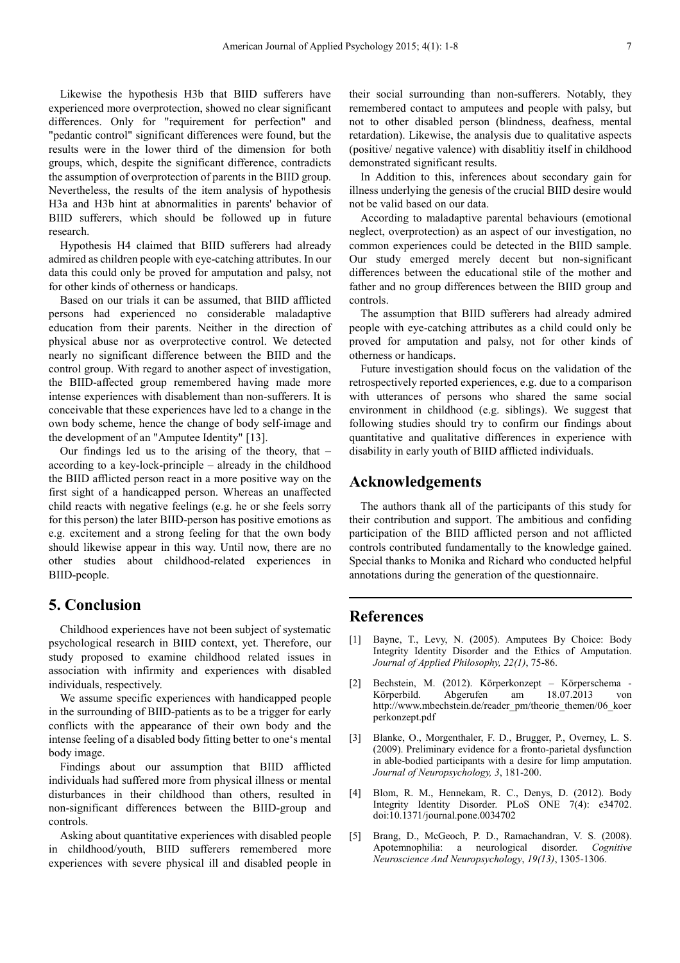Likewise the hypothesis H3b that BIID sufferers have experienced more overprotection, showed no clear significant differences. Only for "requirement for perfection" and "pedantic control" significant differences were found, but the results were in the lower third of the dimension for both groups, which, despite the significant difference, contradicts the assumption of overprotection of parents in the BIID group. Nevertheless, the results of the item analysis of hypothesis H3a and H3b hint at abnormalities in parents' behavior of BIID sufferers, which should be followed up in future research.

Hypothesis H4 claimed that BIID sufferers had already admired as children people with eye-catching attributes. In our data this could only be proved for amputation and palsy, not for other kinds of otherness or handicaps.

Based on our trials it can be assumed, that BIID afflicted persons had experienced no considerable maladaptive education from their parents. Neither in the direction of physical abuse nor as overprotective control. We detected nearly no significant difference between the BIID and the control group. With regard to another aspect of investigation, the BIID-affected group remembered having made more intense experiences with disablement than non-sufferers. It is conceivable that these experiences have led to a change in the own body scheme, hence the change of body self-image and the development of an "Amputee Identity" [13].

Our findings led us to the arising of the theory, that – according to a key-lock-principle – already in the childhood the BIID afflicted person react in a more positive way on the first sight of a handicapped person. Whereas an unaffected child reacts with negative feelings (e.g. he or she feels sorry for this person) the later BIID-person has positive emotions as e.g. excitement and a strong feeling for that the own body should likewise appear in this way. Until now, there are no other studies about childhood-related experiences in BIID-people.

## **5. Conclusion**

Childhood experiences have not been subject of systematic psychological research in BIID context, yet. Therefore, our study proposed to examine childhood related issues in association with infirmity and experiences with disabled individuals, respectively.

We assume specific experiences with handicapped people in the surrounding of BIID-patients as to be a trigger for early conflicts with the appearance of their own body and the intense feeling of a disabled body fitting better to one's mental body image.

Findings about our assumption that BIID afflicted individuals had suffered more from physical illness or mental disturbances in their childhood than others, resulted in non-significant differences between the BIID-group and controls.

Asking about quantitative experiences with disabled people in childhood/youth, BIID sufferers remembered more experiences with severe physical ill and disabled people in

their social surrounding than non-sufferers. Notably, they remembered contact to amputees and people with palsy, but not to other disabled person (blindness, deafness, mental retardation). Likewise, the analysis due to qualitative aspects (positive/ negative valence) with disablitiy itself in childhood demonstrated significant results.

In Addition to this, inferences about secondary gain for illness underlying the genesis of the crucial BIID desire would not be valid based on our data.

According to maladaptive parental behaviours (emotional neglect, overprotection) as an aspect of our investigation, no common experiences could be detected in the BIID sample. Our study emerged merely decent but non-significant differences between the educational stile of the mother and father and no group differences between the BIID group and controls.

The assumption that BIID sufferers had already admired people with eye-catching attributes as a child could only be proved for amputation and palsy, not for other kinds of otherness or handicaps.

Future investigation should focus on the validation of the retrospectively reported experiences, e.g. due to a comparison with utterances of persons who shared the same social environment in childhood (e.g. siblings). We suggest that following studies should try to confirm our findings about quantitative and qualitative differences in experience with disability in early youth of BIID afflicted individuals.

### **Acknowledgements**

The authors thank all of the participants of this study for their contribution and support. The ambitious and confiding participation of the BIID afflicted person and not afflicted controls contributed fundamentally to the knowledge gained. Special thanks to Monika and Richard who conducted helpful annotations during the generation of the questionnaire.

### **References**

- [1] Bayne, T., Levy, N. (2005). Amputees By Choice: Body Integrity Identity Disorder and the Ethics of Amputation. *Journal of Applied Philosophy, 22(1)*, 75-86.
- [2] Bechstein, M. (2012). Körperkonzept Körperschema Körperbild. Abgerufen am 18.07.2013 von http://www.mbechstein.de/reader\_pm/theorie\_themen/06\_koer perkonzept.pdf
- [3] Blanke, O., Morgenthaler, F. D., Brugger, P., Overney, L. S. (2009). Preliminary evidence for a fronto-parietal dysfunction in able-bodied participants with a desire for limp amputation. *Journal of Neuropsychology, 3*, 181-200.
- [4] Blom, R. M., Hennekam, R. C., Denys, D. (2012). Body Integrity Identity Disorder. PLoS ONE 7(4): e34702. doi:10.1371/journal.pone.0034702
- [5] Brang, D., McGeoch, P. D., Ramachandran, V. S. (2008). Apotemnophilia: a neurological disorder. *Cognitive Neuroscience And Neuropsychology*, *19(13)*, 1305-1306.